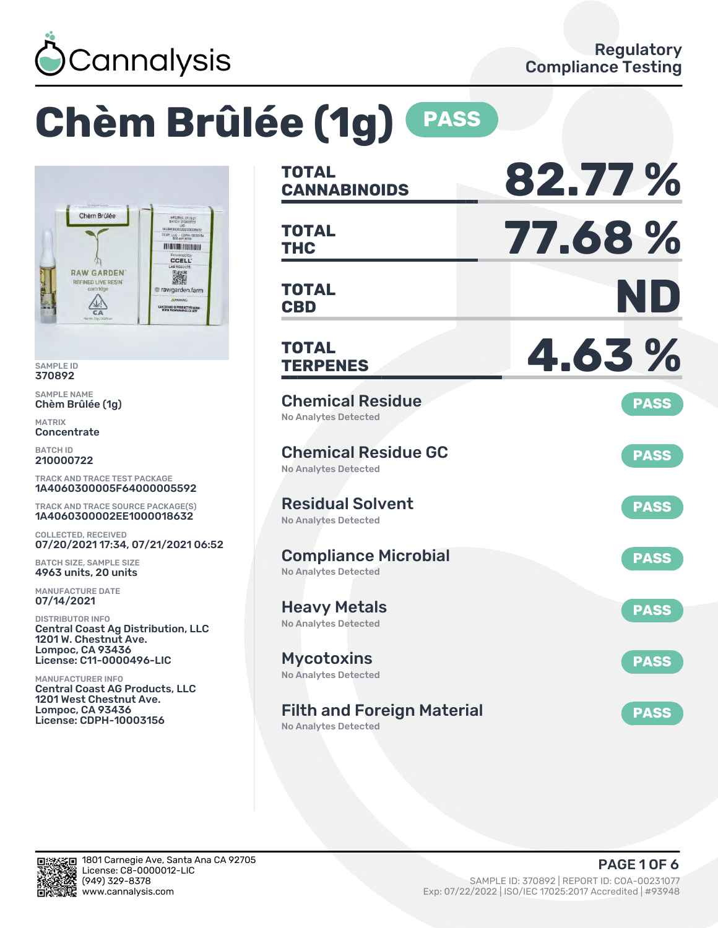

# **Chèm Brûlée (1g) PASS**



SAMPLE ID 370892

SAMPLE NAME Chèm Brûlée (1g)

MATRIX **Concentrate** 

BATCH ID 210000722

TRACK AND TRACE TEST PACKAGE 1A4060300005F64000005592

TRACK AND TRACE SOURCE PACKAGE(S) 1A4060300002EE1000018632

COLLECTED, RECEIVED 07/20/2021 17:34, 07/21/2021 06:52

BATCH SIZE, SAMPLE SIZE 4963 units, 20 units

MANUFACTURE DATE 07/14/2021

DISTRIBUTOR INFO Central Coast Ag Distribution, LLC 1201 W. Chestnut Ave. Lompoc, CA 93436 License: C11-0000496-LIC

MANUFACTURER INFO Central Coast AG Products, LLC 1201 West Chestnut Ave. Lompoc, CA 93436 License: CDPH-10003156

| <b>TOTAL</b><br><b>CANNABINOIDS</b>                              | 82.77%      |
|------------------------------------------------------------------|-------------|
| <b>TOTAL</b><br><b>THC</b>                                       | 77.68%      |
| <b>TOTAL</b><br><b>CBD</b>                                       | ND          |
| <b>TOTAL</b><br><b>TERPENES</b>                                  | 4.63%       |
| <b>Chemical Residue</b><br><b>No Analytes Detected</b>           | <b>PASS</b> |
| <b>Chemical Residue GC</b><br>No Analytes Detected               | <b>PASS</b> |
| <b>Residual Solvent</b><br><b>No Analytes Detected</b>           | <b>PASS</b> |
| <b>Compliance Microbial</b><br><b>No Analytes Detected</b>       | <b>PASS</b> |
| Heavy Metals<br><b>No Analytes Detected</b>                      | <b>PASS</b> |
| <b>Mycotoxins</b><br>No Analytes Detected                        | <b>PASS</b> |
| <b>Filth and Foreign Material</b><br><b>No Analytes Detected</b> | <b>PASS</b> |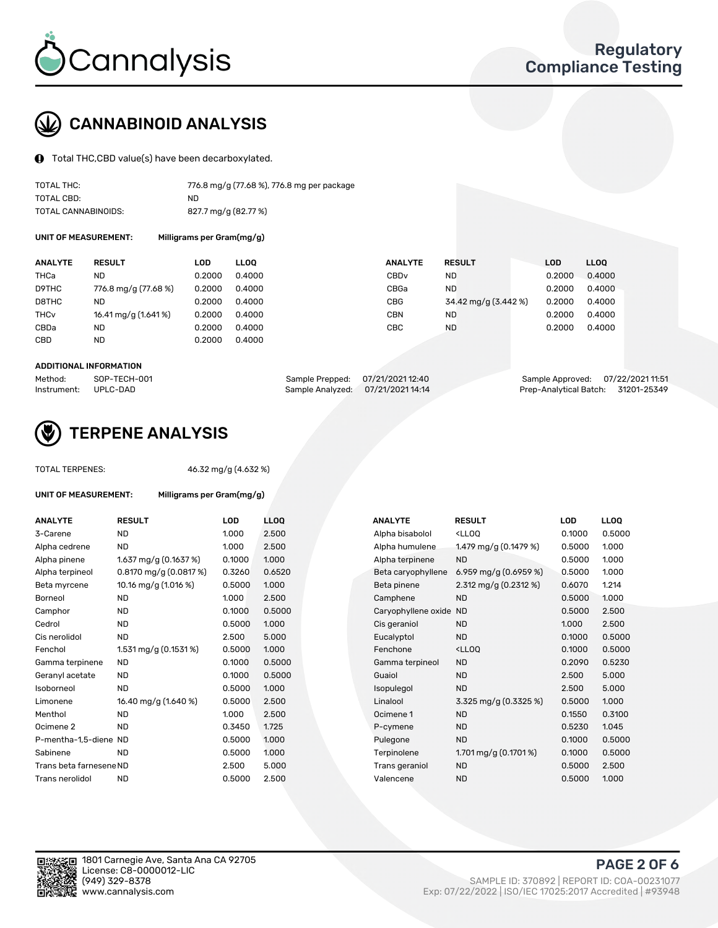

## CANNABINOID ANALYSIS

Total THC,CBD value(s) have been decarboxylated.

| TOTAL THC:          | 776.8 mg/g (77.68 %), 776.8 mg per package |
|---------------------|--------------------------------------------|
| TOTAL CBD:          | ND.                                        |
| TOTAL CANNABINOIDS: | 827.7 mg/g (82.77 %)                       |

UNIT OF MEASUREMENT: Milligrams per Gram(mg/g)

| <b>RESULT</b>        | LOD    | <b>LLOO</b> |                  |                | <b>LOD</b>                                                                   | <b>LLOO</b> |
|----------------------|--------|-------------|------------------|----------------|------------------------------------------------------------------------------|-------------|
| ND                   | 0.2000 | 0.4000      | CBD <sub>v</sub> |                | 0.2000                                                                       | 0.4000      |
| 776.8 mg/g (77.68 %) | 0.2000 | 0.4000      | CBGa             |                | 0.2000                                                                       | 0.4000      |
| ND                   | 0.2000 | 0.4000      | <b>CBG</b>       |                | 0.2000                                                                       | 0.4000      |
| 16.41 mg/g (1.641 %) | 0.2000 | 0.4000      | <b>CBN</b>       |                | 0.2000                                                                       | 0.4000      |
| ND                   | 0.2000 | 0.4000      | CBC              | ND             | 0.2000                                                                       | 0.4000      |
| <b>ND</b>            | 0.2000 | 0.4000      |                  |                |                                                                              |             |
|                      |        |             |                  | <b>ANALYTE</b> | <b>RESULT</b><br><b>ND</b><br><b>ND</b><br>34.42 mg/g (3.442 %)<br><b>ND</b> |             |

#### ADDITIONAL INFORMATION

| Method:              | SOP-TECH-001 | Sample Prepped: 07/21/2021 12:40  | Sample Approved: 07/22/2021 11:51  |  |
|----------------------|--------------|-----------------------------------|------------------------------------|--|
| Instrument: UPLC-DAD |              | Sample Analyzed: 07/21/2021 14:14 | Prep-Analytical Batch: 31201-25349 |  |



## TERPENE ANALYSIS

| <b>TOTAL TERPENES:</b>      |                                         | 46.32 mg/g (4.632 %) |                 |  |  |  |  |
|-----------------------------|-----------------------------------------|----------------------|-----------------|--|--|--|--|
| <b>UNIT OF MEASUREMENT:</b> | Milligrams per Gram(mg/g)               |                      |                 |  |  |  |  |
| <b>ANALYTE</b>              | <b>RESULT</b>                           | LOD                  | LL <sub>O</sub> |  |  |  |  |
| 3-Carene                    | <b>ND</b>                               | 1.000                | 2.50            |  |  |  |  |
| Alpha cedrene               | <b>ND</b>                               | 1.000                | 2.50            |  |  |  |  |
| Alpha pinene                | $1.637 \text{ mg/q} (0.1637 \text{ %})$ | 0.1000               | 1.000           |  |  |  |  |
| Alpha terpineol             | 0.8170 mg/g (0.0817 %)                  | 0.3260               | 0.65            |  |  |  |  |
| Beta myrcene                | 10.16 mg/g (1.016 %)                    | 0.5000               | 1.000           |  |  |  |  |
| Borneol                     | <b>ND</b>                               | 1.000                | 2.50            |  |  |  |  |
| Camphor                     | <b>ND</b>                               | 0.1000               | 0.50            |  |  |  |  |
| Cedrol                      | <b>ND</b>                               | 0.5000               | 1.000           |  |  |  |  |
| Cis nerolidol               | <b>ND</b>                               | 2.500                | 5.00            |  |  |  |  |
| Fenchol                     | 1.531 mg/g $(0.1531\%)$                 | 0.5000               | 1.000           |  |  |  |  |
| Gamma terpinene             | <b>ND</b>                               | 0.1000               | 0.50            |  |  |  |  |
| Geranyl acetate             | <b>ND</b>                               | 0.1000               | 0.50            |  |  |  |  |
| Isoborneol                  | <b>ND</b>                               | 0.5000               | 1.000           |  |  |  |  |
| Limonene                    | 16.40 mg/g (1.640 %)                    | 0.5000               | 2.50            |  |  |  |  |
| Menthol                     | <b>ND</b>                               | 1.000                | 2.50            |  |  |  |  |
| Ocimene <sub>2</sub>        | <b>ND</b>                               | 0.3450               | 1.725           |  |  |  |  |
| P-mentha-1.5-diene ND       |                                         | 0.5000               | 1.000           |  |  |  |  |
| Sabinene                    | <b>ND</b>                               | 0.5000               | 1.000           |  |  |  |  |
| Trans beta farnesene ND     |                                         | 2.500                | 5.00            |  |  |  |  |
| Trans nerolidol             | <b>ND</b>                               | 0.5000               | 2.50            |  |  |  |  |
|                             |                                         |                      |                 |  |  |  |  |

| <b>ANALYTE</b>          | <b>RESULT</b>                           | <b>LOD</b> | <b>LLOQ</b> | <b>ANALYTE</b>      | <b>RESULT</b>                                       | <b>LOD</b> | <b>LLOQ</b> |
|-------------------------|-----------------------------------------|------------|-------------|---------------------|-----------------------------------------------------|------------|-------------|
| 3-Carene                | <b>ND</b>                               | 1.000      | 2.500       | Alpha bisabolol     | <lloq< td=""><td>0.1000</td><td>0.5000</td></lloq<> | 0.1000     | 0.5000      |
| Alpha cedrene           | <b>ND</b>                               | 1.000      | 2.500       | Alpha humulene      | 1.479 mg/g (0.1479 %)                               | 0.5000     | 1.000       |
| Alpha pinene            | $1.637 \text{ mg/q} (0.1637 \text{ %})$ | 0.1000     | 1.000       | Alpha terpinene     | <b>ND</b>                                           | 0.5000     | 1.000       |
| Alpha terpineol         | $0.8170$ mg/g $(0.0817%)$               | 0.3260     | 0.6520      | Beta caryophyllene  | 6.959 mg/g $(0.6959\%)$                             | 0.5000     | 1.000       |
| Beta myrcene            | 10.16 mg/g (1.016 %)                    | 0.5000     | 1.000       | Beta pinene         | 2.312 mg/g $(0.2312 \%)$                            | 0.6070     | 1.214       |
| Borneol                 | <b>ND</b>                               | 1.000      | 2.500       | Camphene            | <b>ND</b>                                           | 0.5000     | 1.000       |
| Camphor                 | ND                                      | 0.1000     | 0.5000      | Caryophyllene oxide | <b>ND</b>                                           | 0.5000     | 2.500       |
| Cedrol                  | <b>ND</b>                               | 0.5000     | 1.000       | Cis geraniol        | <b>ND</b>                                           | 1.000      | 2.500       |
| Cis nerolidol           | <b>ND</b>                               | 2.500      | 5.000       | Eucalyptol          | <b>ND</b>                                           | 0.1000     | 0.5000      |
| Fenchol                 | 1.531 mg/g $(0.1531\%)$                 | 0.5000     | 1.000       | Fenchone            | <ll0q< td=""><td>0.1000</td><td>0.5000</td></ll0q<> | 0.1000     | 0.5000      |
| Gamma terpinene         | <b>ND</b>                               | 0.1000     | 0.5000      | Gamma terpineol     | <b>ND</b>                                           | 0.2090     | 0.5230      |
| Geranyl acetate         | <b>ND</b>                               | 0.1000     | 0.5000      | Guaiol              | <b>ND</b>                                           | 2.500      | 5.000       |
| Isoborneol              | <b>ND</b>                               | 0.5000     | 1.000       | Isopulegol          | <b>ND</b>                                           | 2.500      | 5.000       |
| Limonene                | 16.40 mg/g (1.640 %)                    | 0.5000     | 2.500       | Linalool            | 3.325 mg/g (0.3325 %)                               | 0.5000     | 1.000       |
| Menthol                 | <b>ND</b>                               | 1.000      | 2.500       | Ocimene 1           | <b>ND</b>                                           | 0.1550     | 0.3100      |
| Ocimene 2               | <b>ND</b>                               | 0.3450     | 1.725       | P-cymene            | <b>ND</b>                                           | 0.5230     | 1.045       |
| P-mentha-1,5-diene ND   |                                         | 0.5000     | 1.000       | Pulegone            | <b>ND</b>                                           | 0.1000     | 0.5000      |
| Sabinene                | <b>ND</b>                               | 0.5000     | 1.000       | Terpinolene         | 1.701 mg/g $(0.1701\%)$                             | 0.1000     | 0.5000      |
| Trans beta farnesene ND |                                         | 2.500      | 5.000       | Trans geraniol      | <b>ND</b>                                           | 0.5000     | 2.500       |
| Trans nerolidol         | <b>ND</b>                               | 0.5000     | 2.500       | Valencene           | <b>ND</b>                                           | 0.5000     | 1.000       |
|                         |                                         |            |             |                     |                                                     |            |             |

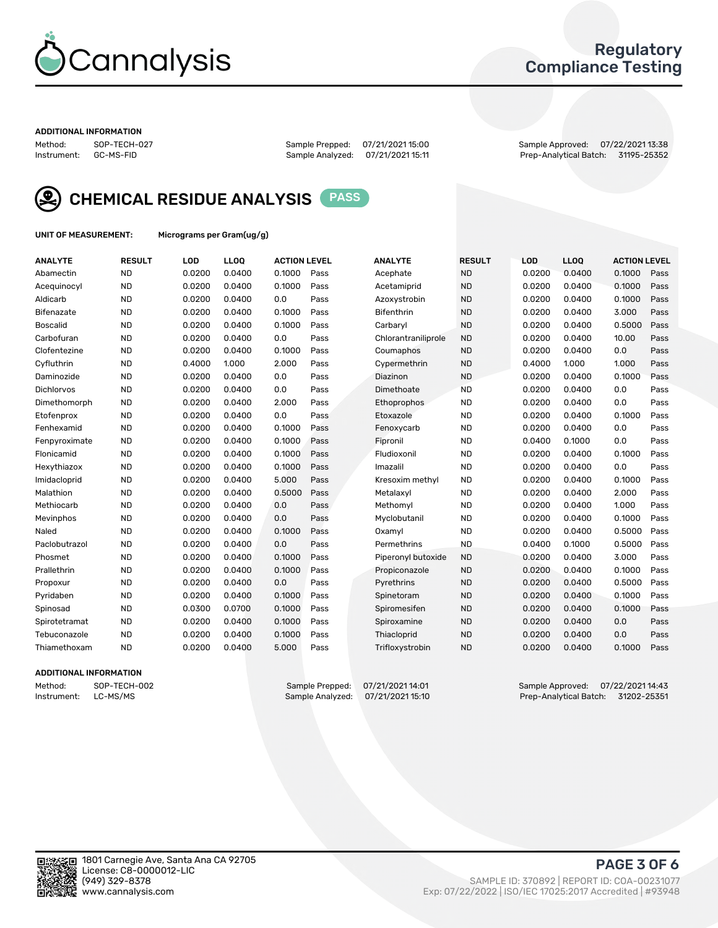

## Regulatory Compliance Testing

#### ADDITIONAL INFORMATION

Method: SOP-TECH-027 Sample Prepped: 07/21/2021 15:00 Sample Approved: 07/22/2021 13:38 Prep-Analytical Batch: 31195-25352



CHEMICAL RESIDUE ANALYSIS PASS

UNIT OF MEASUREMENT: Micrograms per Gram(ug/g)

| <b>ANALYTE</b>    | <b>RESULT</b> | LOD    | LLOQ   | <b>ACTION LEVEL</b> |      | <b>ANALYTE</b>      | <b>RESULT</b> | <b>LOD</b> | <b>LLOQ</b> | <b>ACTION LEVEL</b> |      |
|-------------------|---------------|--------|--------|---------------------|------|---------------------|---------------|------------|-------------|---------------------|------|
| Abamectin         | <b>ND</b>     | 0.0200 | 0.0400 | 0.1000              | Pass | Acephate            | <b>ND</b>     | 0.0200     | 0.0400      | 0.1000              | Pass |
| Acequinocyl       | <b>ND</b>     | 0.0200 | 0.0400 | 0.1000              | Pass | Acetamiprid         | <b>ND</b>     | 0.0200     | 0.0400      | 0.1000              | Pass |
| Aldicarb          | <b>ND</b>     | 0.0200 | 0.0400 | 0.0                 | Pass | Azoxystrobin        | <b>ND</b>     | 0.0200     | 0.0400      | 0.1000              | Pass |
| Bifenazate        | <b>ND</b>     | 0.0200 | 0.0400 | 0.1000              | Pass | <b>Bifenthrin</b>   | <b>ND</b>     | 0.0200     | 0.0400      | 3.000               | Pass |
| <b>Boscalid</b>   | <b>ND</b>     | 0.0200 | 0.0400 | 0.1000              | Pass | Carbarvl            | <b>ND</b>     | 0.0200     | 0.0400      | 0.5000              | Pass |
| Carbofuran        | <b>ND</b>     | 0.0200 | 0.0400 | 0.0                 | Pass | Chlorantraniliprole | <b>ND</b>     | 0.0200     | 0.0400      | 10.00               | Pass |
| Clofentezine      | <b>ND</b>     | 0.0200 | 0.0400 | 0.1000              | Pass | Coumaphos           | <b>ND</b>     | 0.0200     | 0.0400      | 0.0                 | Pass |
| Cyfluthrin        | <b>ND</b>     | 0.4000 | 1.000  | 2.000               | Pass | Cypermethrin        | <b>ND</b>     | 0.4000     | 1.000       | 1.000               | Pass |
| Daminozide        | <b>ND</b>     | 0.0200 | 0.0400 | 0.0                 | Pass | Diazinon            | <b>ND</b>     | 0.0200     | 0.0400      | 0.1000              | Pass |
| <b>Dichlorvos</b> | <b>ND</b>     | 0.0200 | 0.0400 | 0.0                 | Pass | Dimethoate          | <b>ND</b>     | 0.0200     | 0.0400      | 0.0                 | Pass |
| Dimethomorph      | <b>ND</b>     | 0.0200 | 0.0400 | 2.000               | Pass | <b>Ethoprophos</b>  | <b>ND</b>     | 0.0200     | 0.0400      | 0.0                 | Pass |
| Etofenprox        | <b>ND</b>     | 0.0200 | 0.0400 | 0.0                 | Pass | Etoxazole           | <b>ND</b>     | 0.0200     | 0.0400      | 0.1000              | Pass |
| Fenhexamid        | <b>ND</b>     | 0.0200 | 0.0400 | 0.1000              | Pass | Fenoxycarb          | <b>ND</b>     | 0.0200     | 0.0400      | 0.0                 | Pass |
| Fenpyroximate     | <b>ND</b>     | 0.0200 | 0.0400 | 0.1000              | Pass | Fipronil            | <b>ND</b>     | 0.0400     | 0.1000      | 0.0                 | Pass |
| Flonicamid        | <b>ND</b>     | 0.0200 | 0.0400 | 0.1000              | Pass | Fludioxonil         | <b>ND</b>     | 0.0200     | 0.0400      | 0.1000              | Pass |
| Hexythiazox       | <b>ND</b>     | 0.0200 | 0.0400 | 0.1000              | Pass | Imazalil            | <b>ND</b>     | 0.0200     | 0.0400      | 0.0                 | Pass |
| Imidacloprid      | <b>ND</b>     | 0.0200 | 0.0400 | 5.000               | Pass | Kresoxim methyl     | <b>ND</b>     | 0.0200     | 0.0400      | 0.1000              | Pass |
| Malathion         | <b>ND</b>     | 0.0200 | 0.0400 | 0.5000              | Pass | Metalaxyl           | <b>ND</b>     | 0.0200     | 0.0400      | 2.000               | Pass |
| Methiocarb        | <b>ND</b>     | 0.0200 | 0.0400 | 0.0                 | Pass | Methomyl            | <b>ND</b>     | 0.0200     | 0.0400      | 1.000               | Pass |
| Mevinphos         | <b>ND</b>     | 0.0200 | 0.0400 | 0.0                 | Pass | Myclobutanil        | <b>ND</b>     | 0.0200     | 0.0400      | 0.1000              | Pass |
| Naled             | <b>ND</b>     | 0.0200 | 0.0400 | 0.1000              | Pass | Oxamyl              | <b>ND</b>     | 0.0200     | 0.0400      | 0.5000              | Pass |
| Paclobutrazol     | <b>ND</b>     | 0.0200 | 0.0400 | 0.0                 | Pass | Permethrins         | <b>ND</b>     | 0.0400     | 0.1000      | 0.5000              | Pass |
| Phosmet           | <b>ND</b>     | 0.0200 | 0.0400 | 0.1000              | Pass | Piperonyl butoxide  | <b>ND</b>     | 0.0200     | 0.0400      | 3.000               | Pass |
| Prallethrin       | <b>ND</b>     | 0.0200 | 0.0400 | 0.1000              | Pass | Propiconazole       | <b>ND</b>     | 0.0200     | 0.0400      | 0.1000              | Pass |
| Propoxur          | <b>ND</b>     | 0.0200 | 0.0400 | 0.0                 | Pass | Pyrethrins          | <b>ND</b>     | 0.0200     | 0.0400      | 0.5000              | Pass |
| Pyridaben         | <b>ND</b>     | 0.0200 | 0.0400 | 0.1000              | Pass | Spinetoram          | <b>ND</b>     | 0.0200     | 0.0400      | 0.1000              | Pass |
| Spinosad          | <b>ND</b>     | 0.0300 | 0.0700 | 0.1000              | Pass | Spiromesifen        | <b>ND</b>     | 0.0200     | 0.0400      | 0.1000              | Pass |
| Spirotetramat     | <b>ND</b>     | 0.0200 | 0.0400 | 0.1000              | Pass | Spiroxamine         | <b>ND</b>     | 0.0200     | 0.0400      | 0.0                 | Pass |
| Tebuconazole      | <b>ND</b>     | 0.0200 | 0.0400 | 0.1000              | Pass | Thiacloprid         | <b>ND</b>     | 0.0200     | 0.0400      | 0.0                 | Pass |
| Thiamethoxam      | <b>ND</b>     | 0.0200 | 0.0400 | 5.000               | Pass | Trifloxystrobin     | <b>ND</b>     | 0.0200     | 0.0400      | 0.1000              | Pass |
|                   |               |        |        |                     |      |                     |               |            |             |                     |      |

### ADDITIONAL INFORMATION

Method: SOP-TECH-002 Sample Prepped: 07/21/2021 14:01<br>Instrument: LC-MS/MS Sample Analyzed: 07/21/2021 15:10 Prep-Analytical Batch: 31202-25351 Prep-Analytical Batch: 31202-25351

PAGE 3 OF 6

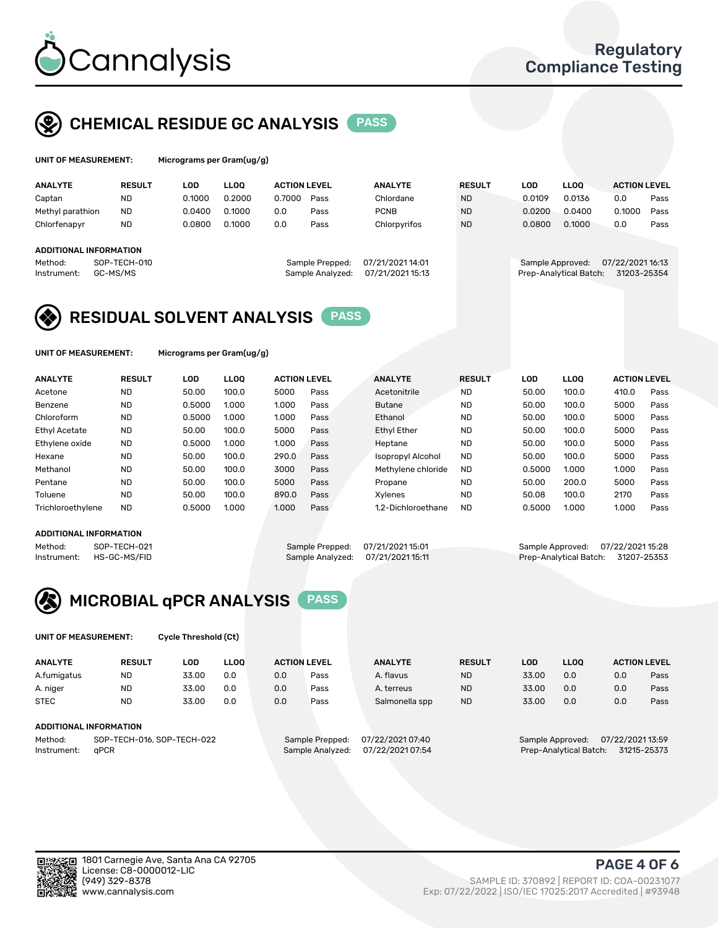

## CHEMICAL RESIDUE GC ANALYSIS PASS

| UNIT OF MEASUREMENT: |                 |     | Micrograms per Gram(ug/g) |  |
|----------------------|-----------------|-----|---------------------------|--|
| ANAI VTE             | <b>DECIII</b> T | ה ה | 11 O O                    |  |

| <b>ANALYTE</b>         | <b>RESULT</b>            | LOD    | <b>LLOO</b> | <b>ACTION LEVEL</b> |                                     | <b>ANALYTE</b>                       | <b>RESULT</b> | LOD    | <b>LLOO</b>                                | <b>ACTION LEVEL</b>             |      |
|------------------------|--------------------------|--------|-------------|---------------------|-------------------------------------|--------------------------------------|---------------|--------|--------------------------------------------|---------------------------------|------|
| Captan                 | ND                       | 0.1000 | 0.2000      | 0.7000              | Pass                                | Chlordane                            | <b>ND</b>     | 0.0109 | 0.0136                                     | 0.0                             | Pass |
| Methyl parathion       | <b>ND</b>                | 0.0400 | 0.1000      | 0.0                 | Pass                                | <b>PCNB</b>                          | <b>ND</b>     | 0.0200 | 0.0400                                     | 0.1000                          | Pass |
| Chlorfenapyr           | <b>ND</b>                | 0.0800 | 0.1000      | 0.0                 | Pass                                | Chlorpyrifos                         | <b>ND</b>     | 0.0800 | 0.1000                                     | 0.0                             | Pass |
|                        |                          |        |             |                     |                                     |                                      |               |        |                                            |                                 |      |
| ADDITIONAL INFORMATION |                          |        |             |                     |                                     |                                      |               |        |                                            |                                 |      |
| Method:<br>Instrument: | SOP-TECH-010<br>GC-MS/MS |        |             |                     | Sample Prepped:<br>Sample Analyzed: | 07/21/2021 14:01<br>07/21/2021 15:13 |               |        | Sample Approved:<br>Prep-Analytical Batch: | 07/22/2021 16:13<br>31203-25354 |      |

## RESIDUAL SOLVENT ANALYSIS PASS

UNIT OF MEASUREMENT: Micrograms per Gram(ug/g)

| <b>ANALYTE</b>       | <b>RESULT</b> | <b>LOD</b> | <b>LLOO</b> | <b>ACTION LEVEL</b> |      | <b>ANALYTE</b>           | <b>RESULT</b> | <b>LOD</b> | <b>LLOO</b> | <b>ACTION LEVEL</b> |      |
|----------------------|---------------|------------|-------------|---------------------|------|--------------------------|---------------|------------|-------------|---------------------|------|
| Acetone              | <b>ND</b>     | 50.00      | 100.0       | 5000                | Pass | Acetonitrile             | <b>ND</b>     | 50.00      | 100.0       | 410.0               | Pass |
| Benzene              | <b>ND</b>     | 0.5000     | 1.000       | 1.000               | Pass | <b>Butane</b>            | <b>ND</b>     | 50.00      | 100.0       | 5000                | Pass |
| Chloroform           | <b>ND</b>     | 0.5000     | 1.000       | 1.000               | Pass | Ethanol                  | <b>ND</b>     | 50.00      | 100.0       | 5000                | Pass |
| <b>Ethyl Acetate</b> | <b>ND</b>     | 50.00      | 100.0       | 5000                | Pass | <b>Ethyl Ether</b>       | <b>ND</b>     | 50.00      | 100.0       | 5000                | Pass |
| Ethylene oxide       | <b>ND</b>     | 0.5000     | 1.000       | 1.000               | Pass | Heptane                  | <b>ND</b>     | 50.00      | 100.0       | 5000                | Pass |
| Hexane               | <b>ND</b>     | 50.00      | 100.0       | 290.0               | Pass | <b>Isopropyl Alcohol</b> | <b>ND</b>     | 50.00      | 100.0       | 5000                | Pass |
| Methanol             | <b>ND</b>     | 50.00      | 100.0       | 3000                | Pass | Methylene chloride       | <b>ND</b>     | 0.5000     | 1.000       | 1.000               | Pass |
| Pentane              | <b>ND</b>     | 50.00      | 100.0       | 5000                | Pass | Propane                  | <b>ND</b>     | 50.00      | 200.0       | 5000                | Pass |
| Toluene              | <b>ND</b>     | 50.00      | 100.0       | 890.0               | Pass | Xylenes                  | <b>ND</b>     | 50.08      | 100.0       | 2170                | Pass |
| Trichloroethylene    | <b>ND</b>     | 0.5000     | 1.000       | 1.000               | Pass | 1.2-Dichloroethane       | <b>ND</b>     | 0.5000     | 1.000       | 1.000               | Pass |

#### ADDITIONAL INFORMATION

Method: SOP-TECH-021 Sample Prepped: 07/21/2021 15:01 Sample Approved: 07/22/2021 15:28<br>Instrument: HS-GC-MS/FID Sample Analyzed: 07/21/2021 15:11 Prep-Analytical Batch: 31207-25353 Prep-Analytical Batch: 31207-25353



UNIT OF MEASUREMENT: Cycle Threshold (Ct)

| <b>ANALYTE</b> | <b>RESULT</b>              | LOD   | <b>LLOO</b> | <b>ACTION LEVEL</b> |                 | <b>ANALYTE</b>   | <b>RESULT</b> | LOD   | <b>LLOO</b>      |                  | <b>ACTION LEVEL</b> |
|----------------|----------------------------|-------|-------------|---------------------|-----------------|------------------|---------------|-------|------------------|------------------|---------------------|
| A.fumigatus    | <b>ND</b>                  | 33.00 | 0.0         | 0.0                 | Pass            | A. flavus        | <b>ND</b>     | 33.00 | 0.0              | 0.0              | Pass                |
| A. niger       | <b>ND</b>                  | 33.00 | 0.0         | 0.0                 | Pass            | A. terreus       | <b>ND</b>     | 33.00 | 0.0              | 0.0              | Pass                |
| <b>STEC</b>    | <b>ND</b>                  | 33.00 | 0.0         | 0.0                 | Pass            | Salmonella spp   | <b>ND</b>     | 33.00 | 0.0              | 0.0              | Pass                |
|                | ADDITIONAL INFORMATION     |       |             |                     |                 |                  |               |       |                  |                  |                     |
| Method:        | SOP-TECH-016, SOP-TECH-022 |       |             |                     | Sample Prepped: | 07/22/2021 07:40 |               |       | Sample Approved: | 07/22/2021 13:59 |                     |

Instrument: qPCR Sample Analyzed: 07/22/2021 07:54 Prep-Analytical Batch: 31215-25373

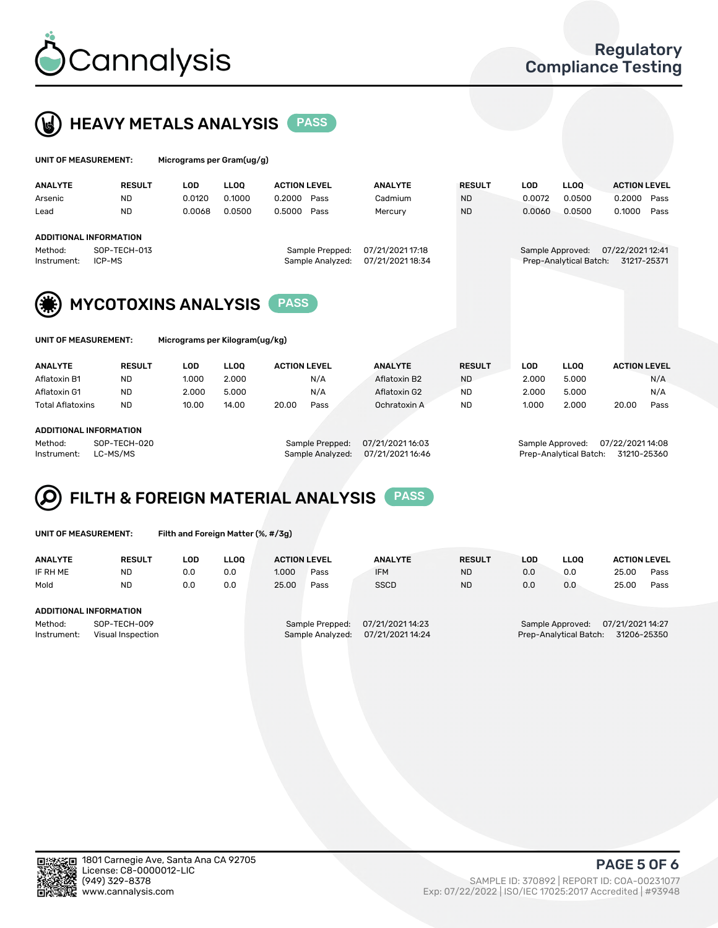



| UNIT OF MEASUREMENT: |               | Micrograms per Gram(ug/g) |             |                     |      |                |               |        |             |                     |      |
|----------------------|---------------|---------------------------|-------------|---------------------|------|----------------|---------------|--------|-------------|---------------------|------|
| <b>ANALYTE</b>       | <b>RESULT</b> | LOD                       | <b>LLOO</b> | <b>ACTION LEVEL</b> |      | <b>ANALYTE</b> | <b>RESULT</b> | LOD    | <b>LLOO</b> | <b>ACTION LEVEL</b> |      |
| Arsenic              | <b>ND</b>     | 0.0120                    | 0.1000      | 0.2000              | Pass | Cadmium        | <b>ND</b>     | 0.0072 | 0.0500      | 0.2000              | Pass |
| Lead                 | <b>ND</b>     | 0.0068                    | 0.0500      | 0.5000              | Pass | Mercury        | <b>ND</b>     | 0.0060 | 0.0500      | 0.1000              | Pass |

#### ADDITIONAL INFORMATION

Method: SOP-TECH-013 Sample Prepped: 07/21/2021 17:18 Sample Approved: 07/22/2021 12:41 Instrument: ICP-MS **Sample Analyzed: 07/21/2021 18:34** 



Micrograms per Kilogram(ug/kg)

| <b>ANALYTE</b>   | <b>RESULT</b> | LOD   | <b>LLOO</b> | <b>ACTION LEVEL</b> |      | <b>ANALYTE</b> | <b>RESULT</b> | <b>LOD</b> | <b>LLOO</b> |       | <b>ACTION LEVEL</b> |
|------------------|---------------|-------|-------------|---------------------|------|----------------|---------------|------------|-------------|-------|---------------------|
| Aflatoxin B1     | <b>ND</b>     | 1.000 | 2.000       |                     | N/A  | Aflatoxin B2   | <b>ND</b>     | 2.000      | 5.000       |       | N/A                 |
| Aflatoxin G1     | <b>ND</b>     | 2.000 | 5.000       |                     | N/A  | Aflatoxin G2   | <b>ND</b>     | 2.000      | 5.000       |       | N/A                 |
| Total Aflatoxins | <b>ND</b>     | 10.00 | 14.00       | 20.00               | Pass | Ochratoxin A   | <b>ND</b>     | 1.000      | 2.000       | 20.00 | Pass                |
|                  |               |       |             |                     |      |                |               |            |             |       |                     |

#### ADDITIONAL INFORMATION

Method: SOP-TECH-020 Sample Prepped: 07/21/2021 16:03 Sample Approved: 07/22/2021 14:08 Instrument: LC-MS/MS Sample Analyzed: 07/21/2021 16:46 Prep-Analytical Batch: 31210-25360

# FILTH & FOREIGN MATERIAL ANALYSIS PASS

UNIT OF MEASUREMENT: Filth and Foreign Matter (%, #/3g)

| <b>ANALYTE</b>         | <b>RESULT</b>                     | LOD. | <b>LLOO</b> | <b>ACTION LEVEL</b> |                                     | <b>ANALYTE</b>                       | <b>RESULT</b> | LOD | <b>LLOO</b>                                | <b>ACTION LEVEL</b>             |      |
|------------------------|-----------------------------------|------|-------------|---------------------|-------------------------------------|--------------------------------------|---------------|-----|--------------------------------------------|---------------------------------|------|
| IF RH ME               | <b>ND</b>                         | 0.0  | 0.0         | 1.000               | Pass                                | <b>IFM</b>                           | <b>ND</b>     | 0.0 | 0.0                                        | 25.00                           | Pass |
| Mold                   | <b>ND</b>                         | 0.0  | 0.0         | 25.00               | Pass                                | <b>SSCD</b>                          | <b>ND</b>     | 0.0 | 0.0                                        | 25.00                           | Pass |
| ADDITIONAL INFORMATION |                                   |      |             |                     |                                     |                                      |               |     |                                            |                                 |      |
| Method:<br>Instrument: | SOP-TECH-009<br>Visual Inspection |      |             |                     | Sample Prepped:<br>Sample Analyzed: | 07/21/2021 14:23<br>07/21/2021 14:24 |               |     | Sample Approved:<br>Prep-Analytical Batch: | 07/21/2021 14:27<br>31206-25350 |      |